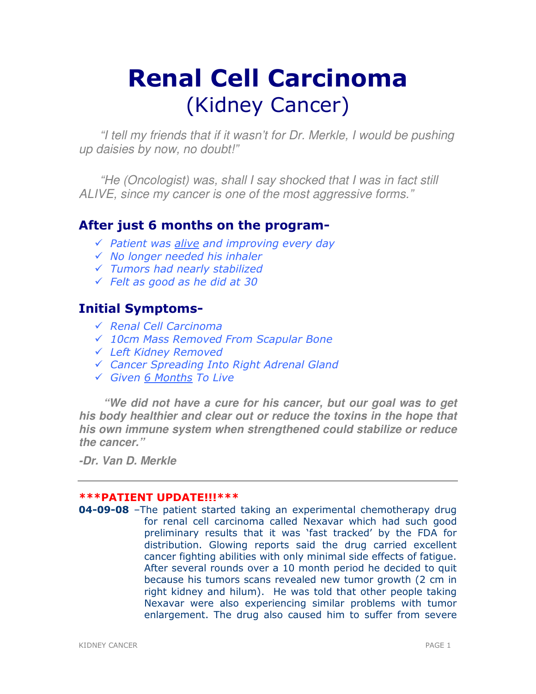# Renal Cell Carcinoma (Kidney Cancer)

"I tell my friends that if it wasn't for Dr. Merkle, I would be pushing up daisies by now, no doubt!"

 "He (Oncologist) was, shall I say shocked that I was in fact still ALIVE, since my cancer is one of the most aggressive forms."

# After just 6 months on the program-

- $\sqrt{ }$  Patient was alive and improving every day
- $\checkmark$  No longer needed his inhaler
- Tumors had nearly stabilized
- $\sqrt{}$  Felt as good as he did at 30

# Initial Symptoms-

- Renal Cell Carcinoma
- 10cm Mass Removed From Scapular Bone
- Left Kidney Removed
- Cancer Spreading Into Right Adrenal Gland
- Given 6 Months To Live

**"We did not have a cure for his cancer, but our goal was to get his body healthier and clear out or reduce the toxins in the hope that his own immune system when strengthened could stabilize or reduce the cancer."** 

**-Dr. Van D. Merkle** 

# \*\*\*PATIENT UPDATE!!!\*\*\*

**04-09-08** –The patient started taking an experimental chemotherapy drug for renal cell carcinoma called Nexavar which had such good preliminary results that it was 'fast tracked' by the FDA for distribution. Glowing reports said the drug carried excellent cancer fighting abilities with only minimal side effects of fatigue. After several rounds over a 10 month period he decided to quit because his tumors scans revealed new tumor growth (2 cm in right kidney and hilum). He was told that other people taking Nexavar were also experiencing similar problems with tumor enlargement. The drug also caused him to suffer from severe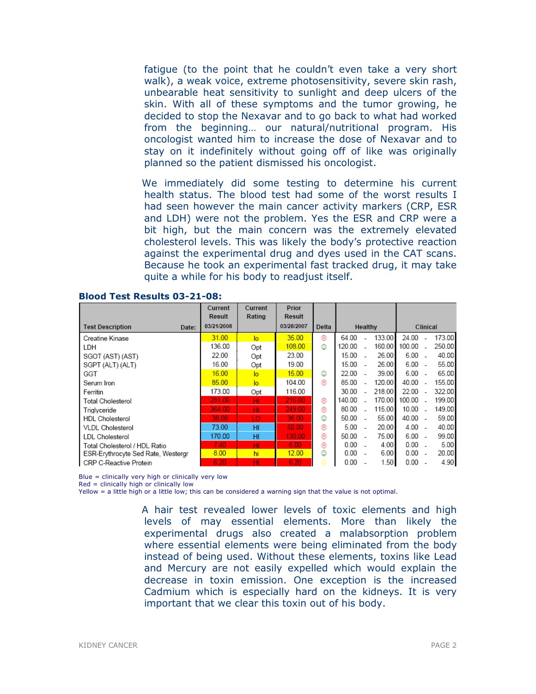fatigue (to the point that he couldn't even take a very short walk), a weak voice, extreme photosensitivity, severe skin rash, unbearable heat sensitivity to sunlight and deep ulcers of the skin. With all of these symptoms and the tumor growing, he decided to stop the Nexavar and to go back to what had worked from the beginning… our natural/nutritional program. His oncologist wanted him to increase the dose of Nexavar and to stay on it indefinitely without going off of like was originally planned so the patient dismissed his oncologist.

We immediately did some testing to determine his current health status. The blood test had some of the worst results I had seen however the main cancer activity markers (CRP, ESR and LDH) were not the problem. Yes the ESR and CRP were a bit high, but the main concern was the extremely elevated cholesterol levels. This was likely the body's protective reaction against the experimental drug and dyes used in the CAT scans. Because he took an experimental fast tracked drug, it may take quite a while for his body to readjust itself.

|                                    | Current<br>Result | Current<br>Rating | Prior<br>Result |       |        |                          |        |          |  |        |
|------------------------------------|-------------------|-------------------|-----------------|-------|--------|--------------------------|--------|----------|--|--------|
| <b>Test Description</b><br>Date:   | 03/21/2008        |                   | 03/28/2007      | Delta |        | Healthy                  |        | Clinical |  |        |
| Creatine Kinase                    | 31.00             | lo.               | 35.00           | ⊛     | 64.00  |                          | 133.00 | 24.00    |  | 173.00 |
| LDH                                | 136.00            | Opt               | 108.00          | ☺     | 120.00 |                          | 160.00 | 100.00   |  | 250.00 |
| SGOT (AST) (AST)                   | 22.00             | Opt               | 23.00           |       | 15.00  |                          | 26.00  | 6.00     |  | 40.00  |
| SGPT (ALT) (ALT)                   | 16.00             | Opt               | 19.00           |       | 15.00  |                          | 26.00  | 6.00     |  | 55.00  |
| GGT                                | 16.00             | lo                | 15.00           | ☺     | 22.00  |                          | 39.00  | 6.00     |  | 65.00  |
| Serum Iron                         | 85.00             | lo.               | 104.00          | ⊛     | 85.00  |                          | 120.00 | 40.00    |  | 155.00 |
| Ferritin                           | 173.00            | Opt               | 116.00          |       | 30.00  |                          | 218.00 | 22.00    |  | 322.00 |
| Total Cholesterol                  | 281.00            | HI                | 216.00          | ⊛     | 140.00 |                          | 170.00 | 100.00   |  | 199.00 |
| Trialvceride                       | 364.00            | HI                | 249.00          | ⊛     | 80.00  |                          | 115.00 | 10.00    |  | 149.00 |
| <b>HDL Cholesterol</b>             | 38.00             | LO.               | 36.00           | ☺     | 50.00  |                          | 55.00  | 40.00 -  |  | 59.00  |
| VLDL Cholesterol                   | 73.00             | HI                | 50.00           | ⊛     | 5.00   |                          | 20.00  | $4.00 -$ |  | 40.00  |
| <b>LDL Cholesterol</b>             | 170.00            | HI                | 130.00          | ⊛     | 50.00  | $\overline{\phantom{a}}$ | 75.00  | $6.00 -$ |  | 99.00  |
| Total Cholesterol / HDL Ratio      | 7.40              | HI                | 6.00            | ⊛     | 0.00   |                          | 4.00   | $0.00 -$ |  | 5.00   |
| ESR-Erythrocyte Sed Rate, Westergr | 8.00              | hi                | 12.00           | ☺     | 0.00   |                          | 6.00   | 0.00     |  | 20.00  |
| <b>CRP C-Reactive Protein</b>      | 6.20              | н                 | 6.20            | ⊕     | 0.00   |                          | 1.50   | 0.00     |  | 4.90   |

#### Blood Test Results 03-21-08:

Blue = clinically very high or clinically very low

Red = clinically high or clinically low

Yellow = a little high or a little low; this can be considered a warning sign that the value is not optimal.

A hair test revealed lower levels of toxic elements and high levels of may essential elements. More than likely the experimental drugs also created a malabsorption problem where essential elements were being eliminated from the body instead of being used. Without these elements, toxins like Lead and Mercury are not easily expelled which would explain the decrease in toxin emission. One exception is the increased Cadmium which is especially hard on the kidneys. It is very important that we clear this toxin out of his body.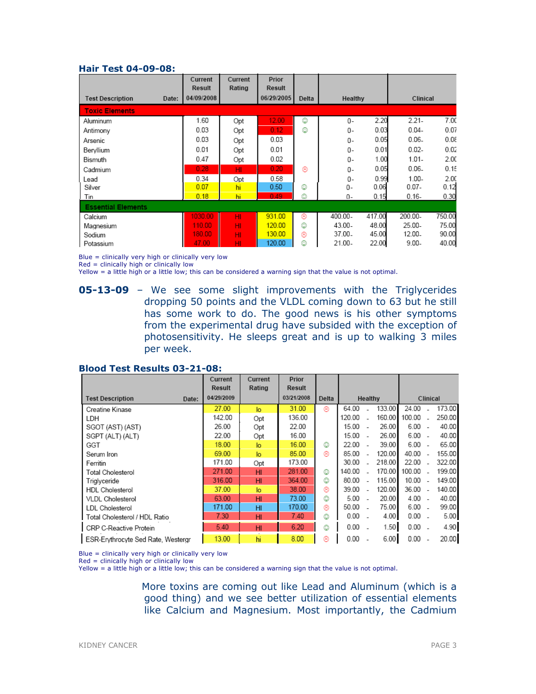#### Hair Test 04-09-08:

|                                  | Current<br><b>Result</b> | Current<br>Rating | Prior<br>Result |       |           |        |           |        |
|----------------------------------|--------------------------|-------------------|-----------------|-------|-----------|--------|-----------|--------|
| <b>Test Description</b><br>Date: | 04/09/2008               |                   | 06/29/2005      | Delta | Healthy   |        | Clinical  |        |
| <b>Toxic Elements</b>            |                          |                   |                 |       |           |        |           |        |
| Aluminum                         | 1.60                     | Opt               | 12.00           | ☺     | 0-        | 2.20   | $2.21 -$  | 7.00   |
| Antimony                         | 0.03                     | Opt               | 0.12            | ٥     | $0 -$     | 0.03   | $0.04 -$  | 0.07   |
| Arsenic                          | 0.03                     | Opt               | 0.03            |       | 0-        | 0.05   | $0.06 -$  | 0.08   |
| Beryllium                        | 0.01                     | Opt               | 0.01            |       | $0-$      | 0.01   | $0.02 -$  | 0.02   |
| Bismuth                          | 0.47                     | Opt               | 0.02            |       | 0-        | 1.00   | $1.01 -$  | 2.00   |
| Cadmium                          | 0.28                     | HI.               | 0.20            | ⊛     | $0 -$     | 0.05   | $0.06 -$  | 0.15   |
| Lead                             | 0.34                     | Opt               | 0.58            |       | 0-        | 0.99   | $1.00 -$  | 2.00   |
| Silver                           | 0.07                     | hi                | 0.50            | ☺     | 0-        | 0.06   | $0.07 -$  | 0.12   |
| Tin                              | 0.18                     | hi                | 0.49            | ☺     | 0-        | 0.15   | $0.16 -$  | 0.30   |
| <b>Essential Elements</b>        |                          |                   |                 |       |           |        |           |        |
| Calcium                          | 1030.00                  | HI.               | 931.00          | ⊛     | 400.00-   | 417.00 | 200.00-   | 750.00 |
| Magnesium                        | 110.00                   | HI.               | 120.00          | ☺     | $43.00 -$ | 48.00  | $25.00 -$ | 75.00  |
| Sodium                           | 180.00                   | HI                | 130.00          | ⊛     | 37.00.    | 45.00  | 12.00-    | 90.00  |
| Potassium                        | 47.00                    | HI                | 120.00          | ☺     | 21.00-    | 22.00  | $9.00 -$  | 40.00  |

Blue = clinically very high or clinically very low

 $Red = \frac{clinically}{high}$  or clinically low

Yellow = a little high or a little low; this can be considered a warning sign that the value is not optimal.

**05-13-09** – We see some slight improvements with the Triglycerides dropping 50 points and the VLDL coming down to 63 but he still has some work to do. The good news is his other symptoms from the experimental drug have subsided with the exception of photosensitivity. He sleeps great and is up to walking 3 miles per week.

#### Blood Test Results 03-21-08:

|                                    | Current<br>Result | Current<br>Rating | Prior<br>Result |       |        |                          |        |          |     |        |
|------------------------------------|-------------------|-------------------|-----------------|-------|--------|--------------------------|--------|----------|-----|--------|
| <b>Test Description</b><br>Date:   | 04/29/2009        |                   | 03/21/2008      | Delta |        | <b>Healthy</b>           |        | Clinical |     |        |
| Creatine Kinase                    | 27.00             | lo.               | 31.00           | ⊛     | 64.00  |                          | 133.00 | 24.00    |     | 173.00 |
| LDH                                | 142.00            | Opt               | 136.00          |       | 120.00 |                          | 160.00 | 100.00   |     | 250.00 |
| SGOT (AST) (AST)                   | 26.00             | Opt               | 22.00           |       | 15.00  | - 1                      | 26.00  | 6.00     | - 1 | 40.00  |
| SGPT (ALT) (ALT)                   | 22.00             | Opt               | 16.00           |       | 15.00  | $\overline{\phantom{a}}$ | 26.00  | $6.00 -$ |     | 40.00  |
| GGT                                | 18.00             | lo.               | 16.00           | ☺     | 22.00  |                          | 39.00  | $6.00 -$ |     | 65.00  |
| Serum Iron                         | 69.00             | lo.               | 85.00           | ⊛     | 85.00  |                          | 120.00 | 40.00    |     | 155.00 |
| Ferritin                           | 171.00            | Opt               | 173.00          |       | 30.00  |                          | 218.00 | 22.00    |     | 322.00 |
| Total Cholesterol                  | 271.00            | HI                | 281.00          | ☺     | 140.00 |                          | 170.00 | 100.00   |     | 199.00 |
| Triglyceride                       | 316.00            | HI                | 364.00          | ☺     | 80.00  |                          | 115.00 | 10.00    |     | 149.00 |
| <b>HDL</b> Cholesterol             | 37.00             | lo.               | 38.00           | ⊛     | 39.00  |                          | 120.00 | 36.00    |     | 140.00 |
| <b>VLDL Cholesterol</b>            | 63.00             | HI                | 73.00           | ☺     | 5.00   |                          | 20.00  | $4.00 -$ |     | 40.00  |
| <b>LDL</b> Cholesterol             | 171.00            | HI                | 170.00          | ⊛     | 50.00  |                          | 75.00  | $6.00 -$ |     | 99.00  |
| Total Cholesterol / HDL Ratio      | 7.30              | HI                | 7.40            | ☺     | 0.00   |                          | 4.00   | $0.00 -$ |     | 5.00   |
| CRP C-Reactive Protein             | 5.40              | HI                | 6.20            | ٨     | 0.00   |                          | 1.50   | 0.00     |     | 4.90   |
| ESR-Erythrocyte Sed Rate, Westergr | 13.00             | hi                | 8.00            | ⊛     | 0.00   |                          | 6.00   | 0.00     |     | 20.00  |

Blue = clinically very high or clinically very low

Red = clinically high or clinically low

Yellow = a little high or a little low; this can be considered a warning sign that the value is not optimal.

More toxins are coming out like Lead and Aluminum (which is a good thing) and we see better utilization of essential elements like Calcium and Magnesium. Most importantly, the Cadmium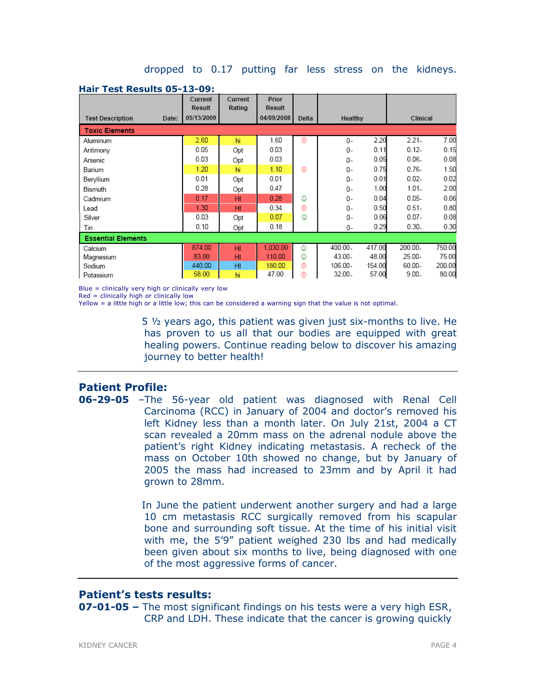#### dropped to 0.17 putting far less stress on the kidneys.

|                                  | Current<br>Result | Current<br>Rating | Prior<br>Result |       |         |        |          |        |
|----------------------------------|-------------------|-------------------|-----------------|-------|---------|--------|----------|--------|
| <b>Test Description</b><br>Date: | 05/13/2009        |                   | 04/09/2008      | Delta | Healthy |        | Clinical |        |
| <b>Toxic Elements</b>            |                   |                   |                 |       |         |        |          |        |
| Aluminum                         | 2.60              | hi                | 1.60            | ⊛     | $0 -$   | 2.20   | $2.21 -$ | 7.00   |
| Antimony                         | 0.05              | Opt               | 0.03            |       | 0-      | 0.11   | $0.12 -$ | 0.15   |
| Arsenic                          | 0.03              | Opt               | 0.03            |       | $0 -$   | 0.05   | $0.06 -$ | 0.08   |
| Barium                           | 1.20              | hi                | 1.10            | ⊛     | 0-      | 0.75   | $0.76 -$ | 1.50   |
| Beryllium                        | 0.01              | Opt               | 0.01            |       | $0 -$   | 0.01   | $0.02 -$ | 0.02   |
| Bismuth                          | 0.28              | Opt               | 0.47            |       | 0-      | 1.00   | $1.01 -$ | 2.00   |
| Cadmium                          | 0.17              | H <sub>II</sub>   | 0.28            | ☺     | $0 -$   | 0.04   | $0.05 -$ | 0.06   |
| Lead                             | 1.30              | HI                | 0.34            | ⊛     | $0 -$   | 0.50   | $0.51 -$ | 0.80   |
| Silver                           | 0.03              | Opt               | 0.07            | ☺     | 0-      | 0.06   | $0.07 -$ | 0.08   |
| Tin                              | 0.10              | Opt               | 0.18            |       | 0-      | 0.29   | $0.30 -$ | 0.30   |
| <b>Essential Elements</b>        |                   |                   |                 |       |         |        |          |        |
| Calcium                          | 874.00            | HI                | 1.030.00        | ☺     | 400.00. | 417.00 | 200.00.  | 750.00 |
| Magnesium                        | 83.00             | HI                | 110.00          | ٨     | 43.00-  | 48.00  | 25.00-   | 75.00  |
| Sodium                           | 440.00            | HI                | 180.00          | ⊛     | 106.00- | 154.00 | 60.00-   | 200.00 |
| Potassium                        | 58.00             | hi                | 47.00           | ⊗     | 32.00.  | 57.00  | $9.00 -$ | 80.00  |

#### Hair Test Results 05-13-09:

Blue = clinically very high or clinically very low

Red = clinically high or clinically low

Yellow = a little high or a little low; this can be considered a warning sign that the value is not optimal.

5 ½ years ago, this patient was given just six-months to live. He has proven to us all that our bodies are equipped with great healing powers. Continue reading below to discover his amazing journey to better health!

# Patient Profile:

06-29-05 –The 56-year old patient was diagnosed with Renal Cell Carcinoma (RCC) in January of 2004 and doctor's removed his left Kidney less than a month later. On July 21st, 2004 a CT scan revealed a 20mm mass on the adrenal nodule above the patient's right Kidney indicating metastasis. A recheck of the mass on October 10th showed no change, but by January of 2005 the mass had increased to 23mm and by April it had grown to 28mm.

> In June the patient underwent another surgery and had a large 10 cm metastasis RCC surgically removed from his scapular bone and surrounding soft tissue. At the time of his initial visit with me, the 5'9" patient weighed 230 lbs and had medically been given about six months to live, being diagnosed with one of the most aggressive forms of cancer.

# Patient's tests results:

**07-01-05 –** The most significant findings on his tests were a very high ESR, CRP and LDH. These indicate that the cancer is growing quickly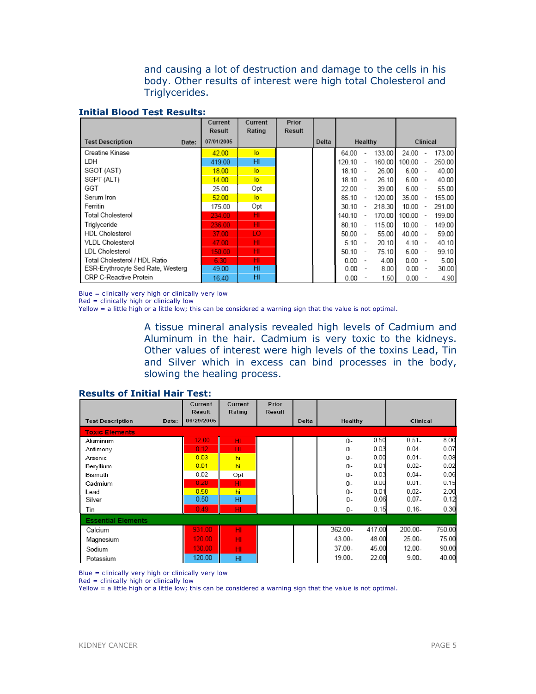and causing a lot of destruction and damage to the cells in his body. Other results of interest were high total Cholesterol and Triglycerides.

#### Initial Blood Test Results:

|                                   | Current    | Current         | Prior         |       |           |                          |        |            |                          |        |
|-----------------------------------|------------|-----------------|---------------|-------|-----------|--------------------------|--------|------------|--------------------------|--------|
|                                   | Result     | Rating          | <b>Result</b> |       |           |                          |        |            |                          |        |
| <b>Test Description</b><br>Date:  | 07/01/2005 |                 |               | Delta | Healthy   |                          |        | Clinical   |                          |        |
| Creatine Kinase                   | 42.00      | $\overline{a}$  |               |       | 64.00     | $\overline{\phantom{a}}$ | 133.00 | 24.00      | $\overline{\phantom{a}}$ | 173.00 |
| LDH                               | 419.00     | HI              |               |       | 120.10    | $\sim$                   | 160.00 | 100.00     | $\overline{\phantom{a}}$ | 250.00 |
| SGOT (AST)                        | 18.00      | lo              |               |       | 18.10     | $\sim$                   | 26.00  | $6.00 -$   |                          | 40.00  |
| SGPT (ALT)                        | 14.00      | $\overline{a}$  |               |       | $18.10 -$ |                          | 26.10  | $6.00 -$   |                          | 40.00  |
| GGT                               | 25.00      | Opt             |               |       | $22.00 -$ |                          | 39.00  | $6.00 -$   |                          | 55.00  |
| Serum Iron                        | 52.00      | $\overline{10}$ |               |       | 85.10     | $\overline{\phantom{a}}$ | 120.00 | $35.00 -$  |                          | 155.00 |
| Ferritin                          | 175.00     | Opt             |               |       | 30.10     | $\overline{\phantom{a}}$ | 218.30 | $10.00 -$  |                          | 291.00 |
| Total Cholesterol                 | 234.00     | HI              |               |       | 140.10    | $\overline{\phantom{a}}$ | 170.00 | $100.00 -$ |                          | 199.00 |
| Triglyceride                      | 236.00     | HI              |               |       | 80.10     | $\sim$                   | 115.00 | 10.00      | $\sim$                   | 149.00 |
| <b>HDL Cholesterol</b>            | 37.00      | LO.             |               |       | 50.00     | $\sim$                   | 55.00  | $40.00 -$  |                          | 59.00  |
| <b>VLDL Cholesterol</b>           | 47.00      | HI              |               |       | 5.10      | $\sim$                   | 20.10  | $4.10 -$   |                          | 40.10  |
| LDL Cholesterol                   | 150.00     | HI              |               |       | 50.10     | $\sim$                   | 75.10  | $6.00 -$   |                          | 99.10  |
| Total Cholesterol / HDL Ratio     | 6.30       | HI              |               |       | 0.00      | $\overline{\phantom{a}}$ | 4.00   | $0.00 -$   |                          | 5.00   |
| ESR-Erythrocyte Sed Rate, Westerg | 49.00      | HI              |               |       | 0.00      |                          | 8.00   | $0.00 -$   |                          | 30.00  |
| CRP C-Reactive Protein            | 16.40      | HI              |               |       | 0.00      |                          | 1.50   | 0.00       | $\overline{\phantom{a}}$ | 4.90   |

Blue = clinically very high or clinically very low

Red = clinically high or clinically low

Yellow = a little high or a little low; this can be considered a warning sign that the value is not optimal.

A tissue mineral analysis revealed high levels of Cadmium and Aluminum in the hair. Cadmium is very toxic to the kidneys. Other values of interest were high levels of the toxins Lead, Tin and Silver which in excess can bind processes in the body, slowing the healing process.

|                                  | Current<br><b>Result</b> | Current<br>Rating | Prior<br>Result |       |         |        |          |        |
|----------------------------------|--------------------------|-------------------|-----------------|-------|---------|--------|----------|--------|
| <b>Test Description</b><br>Date: | 06/29/2005               |                   |                 | Delta | Healthy |        | Clinical |        |
| <b>Toxic Elements</b>            |                          |                   |                 |       |         |        |          |        |
| Aluminum                         | 12.00                    | HI.               |                 |       | $0 -$   | 0.50   | $0.51 -$ | 8.00   |
| Antimony                         | 0.12                     | HI.               |                 |       | 0-      | 0.03   | $0.04 -$ | 0.07   |
| Arsenic                          | 0.03                     | hi                |                 |       | 0-      | 0.00   | $0.01 -$ | 0.08   |
| Bervillum                        | 0.01                     | hi                |                 |       | 0-      | 0.01   | $0.02 -$ | 0.02   |
| Bismuth                          | 0.02                     | Opt               |                 |       | 0-      | 0.03   | $0.04 -$ | 0.06   |
| Cadmium                          | 0.20                     | HI                |                 |       | 0-      | 0.00   | $0.01 -$ | 0.15   |
| Lead                             | 0.58                     | hi                |                 |       | 0-      | 0.01   | $0.02 -$ | 2.00   |
| Silver                           | 0.50                     | HI                |                 |       | 0-      | 0.06   | $0.07 -$ | 0.12   |
| Tin                              | 0.49                     | HI                |                 |       | 0-      | 0.15   | $0.16 -$ | 0.30   |
| <b>Essential Elements</b>        |                          |                   |                 |       |         |        |          |        |
| Calcium                          | 931.00                   | HI                |                 |       | 362.00- | 417.00 | 200.00-  | 750.00 |
| Magnesium                        | 120.00                   | HI                |                 |       | 43.00-  | 48.00  | 25.00-   | 75.00  |
| Sodium                           | 130.00                   | HI                |                 |       | 37.00.  | 45.00  | 12.00-   | 90.00  |
| Potassium                        | 120.00                   | HI                |                 |       | 19.00.  | 22.00  | $9.00 -$ | 40.00  |

#### Results of Initial Hair Test:

Blue = clinically very high or clinically very low

Red = clinically high or clinically low

Yellow = a little high or a little low; this can be considered a warning sign that the value is not optimal.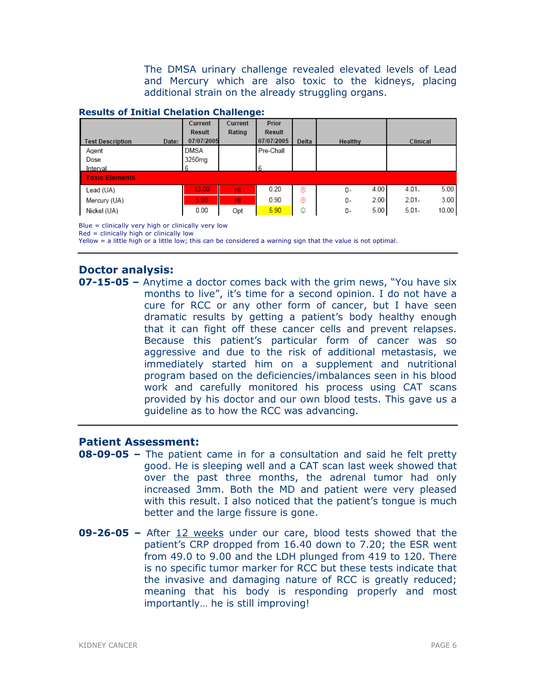The DMSA urinary challenge revealed elevated levels of Lead and Mercury which are also toxic to the kidneys, placing additional strain on the already struggling organs.

#### Results of Initial Chelation Challenge:

|                                  | Current            | Current | Prior      |       |            |                   |
|----------------------------------|--------------------|---------|------------|-------|------------|-------------------|
|                                  | Result             | Rating  | Result     |       |            |                   |
| <b>Test Description</b><br>Date: | 07/07/2005         |         | 07/07/2005 | Delta | Healthy    | Clinical          |
| Agent                            | DMSA               |         | Pre-Chall  |       |            |                   |
| Dose                             | 3250 <sub>mg</sub> |         |            |       |            |                   |
| Interval                         |                    |         | 6          |       |            |                   |
| <b>Toxic Elements</b>            |                    |         |            |       |            |                   |
| Lead (UA)                        | 13.00              | HI      | 0.20       | ⊛     | 4.00<br>0- | 5.00<br>$4.01 -$  |
| Mercury (UA)                     | 5.00               | HI      | 0.90       | ⊛     | 2.00<br>0- | 3.00<br>$2.01 -$  |
| Nickel (UA)                      | 0.00               | Opt     | 5.90       | ٥     | 5.00<br>0- | 10.00<br>$5.01 -$ |

Blue = clinically very high or clinically very low

Red = clinically high or clinically low

Yellow = a little high or a little low; this can be considered a warning sign that the value is not optimal.

# Doctor analysis:

**07-15-05** – Anytime a doctor comes back with the grim news, "You have six months to live", it's time for a second opinion. I do not have a cure for RCC or any other form of cancer, but I have seen dramatic results by getting a patient's body healthy enough that it can fight off these cancer cells and prevent relapses. Because this patient's particular form of cancer was so aggressive and due to the risk of additional metastasis, we immediately started him on a supplement and nutritional program based on the deficiencies/imbalances seen in his blood work and carefully monitored his process using CAT scans provided by his doctor and our own blood tests. This gave us a guideline as to how the RCC was advancing.

# Patient Assessment:

- 08-09-05 The patient came in for a consultation and said he felt pretty good. He is sleeping well and a CAT scan last week showed that over the past three months, the adrenal tumor had only increased 3mm. Both the MD and patient were very pleased with this result. I also noticed that the patient's tongue is much better and the large fissure is gone.
- 09-26-05 After 12 weeks under our care, blood tests showed that the patient's CRP dropped from 16.40 down to 7.20; the ESR went from 49.0 to 9.00 and the LDH plunged from 419 to 120. There is no specific tumor marker for RCC but these tests indicate that the invasive and damaging nature of RCC is greatly reduced; meaning that his body is responding properly and most importantly… he is still improving!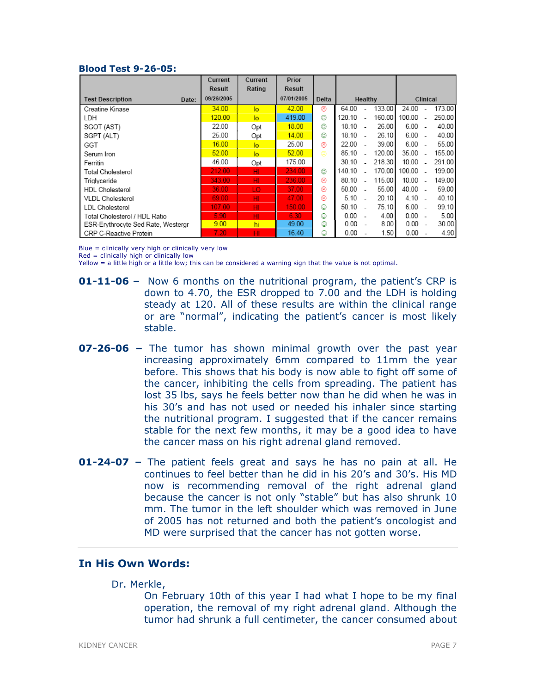#### Blood Test 9-26-05:

|                                    | Current    | Current        | Prior      |       |        |         |        |          |                |        |
|------------------------------------|------------|----------------|------------|-------|--------|---------|--------|----------|----------------|--------|
|                                    | Result     | Rating         | Result     |       |        |         |        |          |                |        |
| <b>Test Description</b><br>Date:   | 09/26/2005 |                | 07/01/2005 | Delta |        | Healthy |        | Clinical |                |        |
| Creatine Kinase                    | 34.00      | lo             | 42.00      | ⊛     | 64.00  |         | 133.00 | 24.00    |                | 173.00 |
| LDH                                | 120.00     | $\overline{a}$ | 419.00     | ٧     | 120.10 |         | 160.00 | 100.00   |                | 250.00 |
| SGOT (AST)                         | 22.00      | Opt            | 18.00      | ٧     | 18.10  |         | 26.00  | $6.00 -$ |                | 40.00  |
| SGPT (ALT)                         | 25.00      | Opt            | 14.00      | ٧     | 18.10  |         | 26.10  | $6.00 -$ |                | 40.00  |
| GGT                                | 16.00      | $\overline{a}$ | 25.00      | ⊛     | 22.00  |         | 39.00  | $6.00 -$ |                | 55.00  |
| Serum Iron                         | 52.00      | $\overline{a}$ | 52.00      | ⊜     | 85.10  |         | 120.00 | 35.00    | $\sim$         | 155.00 |
| Ferritin                           | 46.00      | Opt            | 175.00     |       | 30.10  |         | 218.30 | 10.00    |                | 291.00 |
| Total Cholesterol                  | 212.00     | HI.            | 234.00     | ٧     | 140.10 |         | 170.00 | 100.00   | ÷.             | 199.00 |
| Trialyceride                       | 343.00     | HI.            | 236.00     | ⊛     | 80.10  |         | 115.00 | 10.00    | $\overline{a}$ | 149.00 |
| <b>HDL Cholesterol</b>             | 36.00      | LO.            | 37.00      | ⊛     | 50.00  |         | 55.00  | 40.00 -  |                | 59.00  |
| <b>VLDL</b> Cholesterol            | 69.00      | HI             | 47.00      | ⊛     | 5.10   |         | 20.10  | $4.10 -$ |                | 40.10  |
| LDL Cholesterol                    | 107.00     | HI             | 150.00     | ٧     | 50.10  |         | 75.10  | 6.00     |                | 99.10  |
| Total Cholesterol / HDL Ratio      | 5.90       | HI             | 6.30       | ٨     | 0.00   |         | 4.00   | $0.00 -$ |                | 5.00   |
| ESR-Erythrocyte Sed Rate, Westergr | 9.00       | hi             | 49.00      | ☺     | 0.00   |         | 8.00   | 0.00     |                | 30.00  |
| CRP C-Reactive Protein             | 7.20       | HI.            | 16.40      | ☺     | 0.00   |         | 1.50   | 0.00     |                | 4.90   |

Blue = clinically very high or clinically very low

 $Red =$  clinically high or clinically low

Yellow = a little high or a little low; this can be considered a warning sign that the value is not optimal.

- 01-11-06 Now 6 months on the nutritional program, the patient's CRP is down to 4.70, the ESR dropped to 7.00 and the LDH is holding steady at 120. All of these results are within the clinical range or are "normal", indicating the patient's cancer is most likely stable.
- 07-26-06 The tumor has shown minimal growth over the past year increasing approximately 6mm compared to 11mm the year before. This shows that his body is now able to fight off some of the cancer, inhibiting the cells from spreading. The patient has lost 35 lbs, says he feels better now than he did when he was in his 30's and has not used or needed his inhaler since starting the nutritional program. I suggested that if the cancer remains stable for the next few months, it may be a good idea to have the cancer mass on his right adrenal gland removed.
- **01-24-07** The patient feels great and says he has no pain at all. He continues to feel better than he did in his 20's and 30's. His MD now is recommending removal of the right adrenal gland because the cancer is not only "stable" but has also shrunk 10 mm. The tumor in the left shoulder which was removed in June of 2005 has not returned and both the patient's oncologist and MD were surprised that the cancer has not gotten worse.

# In His Own Words:

#### Dr. Merkle,

On February 10th of this year I had what I hope to be my final operation, the removal of my right adrenal gland. Although the tumor had shrunk a full centimeter, the cancer consumed about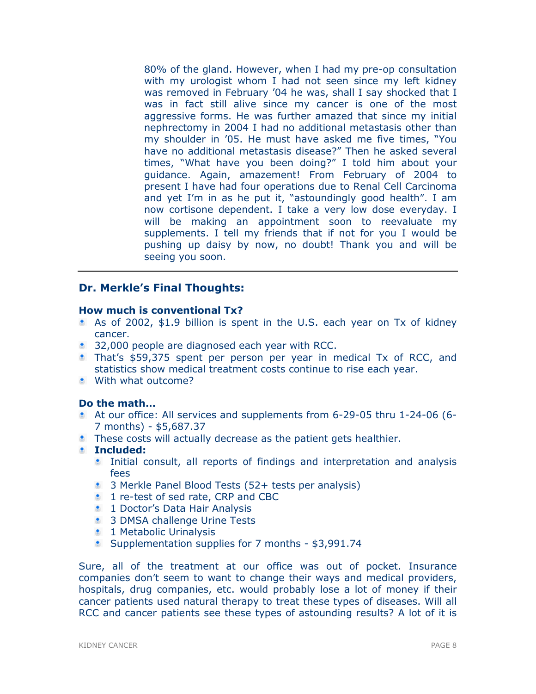80% of the gland. However, when I had my pre-op consultation with my urologist whom I had not seen since my left kidney was removed in February '04 he was, shall I say shocked that I was in fact still alive since my cancer is one of the most aggressive forms. He was further amazed that since my initial nephrectomy in 2004 I had no additional metastasis other than my shoulder in '05. He must have asked me five times, "You have no additional metastasis disease?" Then he asked several times, "What have you been doing?" I told him about your guidance. Again, amazement! From February of 2004 to present I have had four operations due to Renal Cell Carcinoma and yet I'm in as he put it, "astoundingly good health". I am now cortisone dependent. I take a very low dose everyday. I will be making an appointment soon to reevaluate my supplements. I tell my friends that if not for you I would be pushing up daisy by now, no doubt! Thank you and will be seeing you soon.

# Dr. Merkle's Final Thoughts:

### How much is conventional Tx?

- As of 2002, \$1.9 billion is spent in the U.S. each year on Tx of kidney cancer.
- **32,000 people are diagnosed each year with RCC.**
- That's \$59,375 spent per person per year in medical Tx of RCC, and statistics show medical treatment costs continue to rise each year.
- **With what outcome?**

# Do the math…

- At our office: All services and supplements from 6-29-05 thru 1-24-06 (6- 7 months) - \$5,687.37
- **These costs will actually decrease as the patient gets healthier.**
- Included:
	- Initial consult, all reports of findings and interpretation and analysis fees
	- **3** Merkle Panel Blood Tests (52+ tests per analysis)
	- **1** re-test of sed rate, CRP and CBC
	- **1 Doctor's Data Hair Analysis**
	- **3 DMSA challenge Urine Tests**
	- **1** Metabolic Urinalysis
	- **Supplementation supplies for 7 months \$3,991.74**

Sure, all of the treatment at our office was out of pocket. Insurance companies don't seem to want to change their ways and medical providers, hospitals, drug companies, etc. would probably lose a lot of money if their cancer patients used natural therapy to treat these types of diseases. Will all RCC and cancer patients see these types of astounding results? A lot of it is